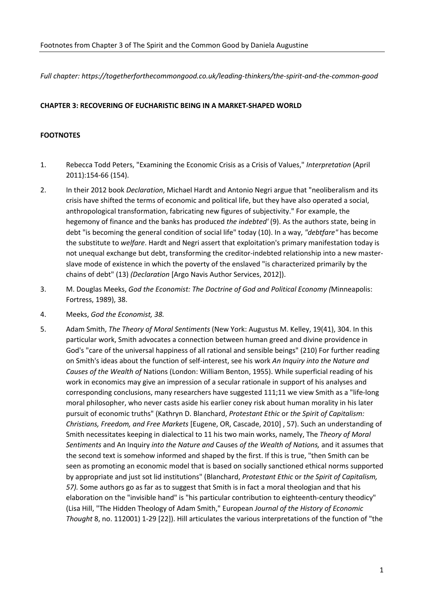*Full chapter: https://togetherforthecommongood.co.uk/leading-thinkers/the-spirit-and-the-common-good*

## **CHAPTER 3: RECOVERING OF EUCHARISTIC BEING IN A MARKET-SHAPED WORLD**

## **FOOTNOTES**

- 1. Rebecca Todd Peters, "Examining the Economic Crisis as a Crisis of Values," *Interpretation* (April 2011):154-66 (154).
- 2. In their 2012 book *Declaration*, Michael Hardt and Antonio Negri argue that "neoliberalism and its crisis have shifted the terms of economic and political life, but they have also operated a social, anthropological transformation, fabricating new figures of subjectivity." For example, the hegemony of finance and the banks has produced *the indebted'* (9). As the authors state, being in debt "is becoming the general condition of social life" today (10). In a way, *"debtfare"* has become the substitute to *welfare*. Hardt and Negri assert that exploitation's primary manifestation today is not unequal exchange but debt, transforming the creditor-indebted relationship into a new masterslave mode of existence in which the poverty of the enslaved "is characterized primarily by the chains of debt" (13) *(Declaration* [Argo Navis Author Services, 2012]).
- 3. M. Douglas Meeks, *God the Economist: The Doctrine of God and Political Economy (*Minneapolis: Fortress, 1989), 38.
- 4. Meeks, *God the Economist, 38.*
- 5. Adam Smith, *The Theory of Moral Sentiments* (New York: Augustus M. Kelley, 19(41), 304. In this particular work, Smith advocates a connection between human greed and divine providence in God's "care of the universal happiness of all rational and sensible beings" (210) For further reading on Smith's ideas about the function of self-interest, see his work *An Inquiry into the Nature and Causes of the Wealth of* Nations (London: William Benton, 1955). While superficial reading of his work in economics may give an impression of a secular rationale in support of his analyses and corresponding conclusions, many researchers have suggested 111;11 we view Smith as a "life-long moral philosopher, who never casts aside his earlier coney risk about human morality in his later pursuit of economic truths" (Kathryn D. Blanchard, *Protestant Ethic* or *the Spirit of Capitalism: Christians, Freedom, and Free Markets* [Eugene, OR, Cascade, 2010] , 57). Such an understanding of Smith necessitates keeping in dialectical to 11 his two main works, namely, The *Theory of Moral Sentiments* and An Inquiry *into the Nature and* Causes *of the Wealth of Nations,* and it assumes that the second text is somehow informed and shaped by the first. If this is true, "then Smith can be seen as promoting an economic model that is based on socially sanctioned ethical norms supported by appropriate and just sot lid institutions" (Blanchard, *Protestant Ethic* or *the Spirit of Capitalism, 57).* Some authors go as far as to suggest that Smith is in fact a moral theologian and that his elaboration on the "invisible hand" is "his particular contribution to eighteenth-century theodicy" (Lisa Hill, "The Hidden Theology of Adam Smith," European *Journal of the History of Economic Thought* 8, no. 112001) 1-29 [22]). Hill articulates the various interpretations of the function of "the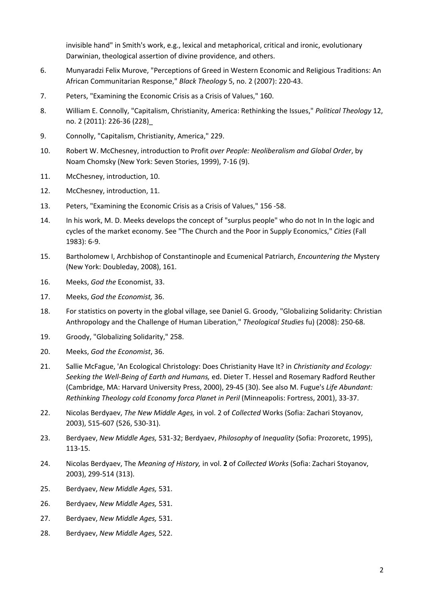invisible hand" in Smith's work, e.g., lexical and metaphorical, critical and ironic, evolutionary Darwinian, theological assertion of divine providence, and others.

- 6. Munyaradzi Felix Murove, "Perceptions of Greed in Western Economic and ReIigious Traditions: An African Communitarian Response," *Black Theology* 5, no. 2 (2007): 220-43.
- 7. Peters, "Examining the Economic Crisis as a Crisis of Values," 160.
- 8. William E. Connolly, "Capitalism, Christianity, America: Rethinking the Issues," *Political Theology* 12, no. 2 (2011): 226-36 (228)\_
- 9. Connolly, "Capitalism, Christianity, America," 229.
- 10. Robert W. McChesney, introduction to Profit *over People: Neoliberalism and Global Order*, by Noam Chomsky (New York: Seven Stories, 1999), 7-16 (9).
- 11. McChesney, introduction, 10.
- 12. McChesney, introduction, 11.
- 13. Peters, "Examining the Economic Crisis as a Crisis of Values," 156 -58.
- 14. In his work, M. D. Meeks develops the concept of "surplus people" who do not In In the logic and cycles of the market economy. See "The Church and the Poor in Suppl*y* Economics," *Cities* (Fall 1983): 6-9.
- 15. Bartholomew I, Archbishop of Constantinople and Ecumenical Patriarch, *Encountering the* Mystery (New York: Doubleday, 2008), 161.
- 16. Meeks, *God the* Economist, 33.
- 17. Meeks, *God the Economist,* 36.
- 18. For statistics on poverty in the global village, see Daniel G. Groody, "Globalizing Solidarity: Christian Anthropology and the Challenge of Human Liberation," *Theological Studies* fu) (2008): 250-68.
- 19. Groody, "Globalizing Solidarity," 258.
- 20. Meeks, *God the Economist*, 36.
- 21. Sallie McFague, 'An Ecological Christology: Does Christianity Have It? in *Christianity and Ecology: Seeking the Well-Being of Earth and Humans,* ed. Dieter T. Hessel and Rosemary Radford Reuther (Cambridge, MA: Harvard University Press, 2000), 29-45 (30). See also M. Fugue's *Life Abundant: Rethinking Theology cold Economy forca Planet in Peril* (Minneapolis: Fortress, 2001), 33-37.
- 22. Nicolas Berdyaev, *The New Middle Ages,* in vol. 2 of *Collected* Works (Sofia: Zachari Stoyanov, 2003), 515-607 (526, 530-31).
- 23. Berdyaev, *New Middle Ages,* 531-32; Berdyaev, *Philosophy* of *Inequality* (Sofia: Prozoretc, 1995), 113-15.
- 24. Nicolas Berdyaev, The *Meaning of History,* in vol. **2** of *Collected Works* (Sofia: Zachari Stoyanov, 2003), 299-514 (313).
- 25. Berdyaev, *New Middle Ages,* 531.
- 26. Berdyaev, *New Middle Ages,* 531.
- 27. Berdyaev, *New Middle Ages,* 531.
- 28. Berdyaev, *New Middle Ages,* 522.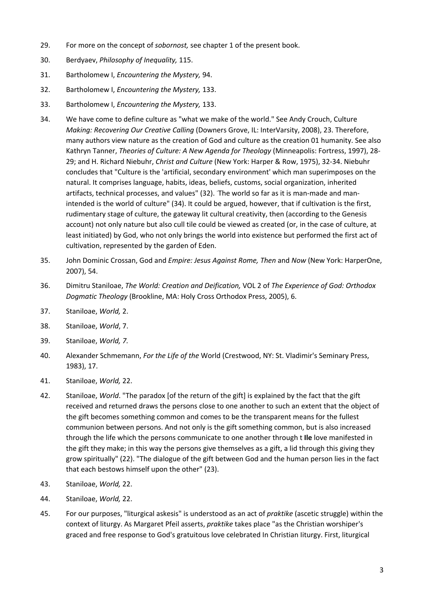- 29. For more on the concept of *sobornost,* see chapter 1 of the present book.
- 30. Berdyaev, *Philosophy of Inequality,* 115.
- 31. Bartholomew I, *Encountering the Mystery,* 94.
- 32. Bartholomew I, *Encountering the Mystery,* 133.
- 33. Bartholomew I, *Encountering the Mystery,* 133.
- 34. We have come to define culture as "what we make of the world." See Andy Crouch, Culture *Making: Recovering Our Creative Calling* (Downers Grove, IL: InterVarsity, 2008), 23. Therefore, many authors view nature as the creation of God and culture as the creation 01 humanity. See also Kathryn Tanner, *Theories of Culture: A New Agenda for Theology* (Minneapolis: Fortress, 1997), 28- 29; and H. Richard Niebuhr, *Christ and Culture* (New York: Harper & Row, 1975), 32-34. Niebuhr concludes that "Culture is the 'artificial, secondary environment' which man superimposes on the natural. It comprises language, habits, ideas, beliefs, customs, social organization, inherited artifacts, technical processes, and values" (32). The world so far as it is man-made and manintended is the world of culture" (34). It could be argued, however, that if cultivation is the first, rudimentary stage of culture, the gateway lit cultural creativity, then (according to the Genesis account) not only nature but also cull tile could be viewed as created (or, in the case of culture, at least initiated) by God, who not only brings the world into existence but performed the first act of cultivation, represented by the garden of Eden.
- 35. John Dominic Crossan, God and *Empire: Jesus Against Rome, Then* and *Now* (New York: HarperOne, 2007), 54.
- 36. Dimitru Staniloae, *The World: Creation and Deification,* VOL 2 of *The Experience of God: Orthodox Dogmatic Theology* (Brookline, MA: Holy Cross Orthodox Press, 2005), 6.
- 37. Staniloae, *World,* 2.
- 38. Staniloae, *World*, 7.
- 39. Staniloae, *World, 7.*
- 40. Alexander Schmemann, *For the Life of the* World (Crestwood, NY: St. Vladimir's Seminary Press, 1983), 17.
- 41. Staniloae, *World,* 22.
- 42. Staniloae, *World*. "The paradox [of the return of the gift] is explained by the fact that the gift received and returned draws the persons close to one another to such an extent that the object of the gift becomes something common and comes to be the transparent means for the fullest communion between persons. And not only is the gift something common, but is also increased through the life which the persons communicate to one another through t **Ile** love manifested in the gift they make; in this way the persons give themselves as a gift, a lid through this giving they grow spiritually" (22). "The dialogue of the gift between God and the human person lies in the fact that each bestows himself upon the other" (23).
- 43. Staniloae, *World,* 22.
- 44. Staniloae, *World,* 22.
- 45. For our purposes, "liturgical askesis" is understood as an act of *praktike* (ascetic struggle) within the context of liturgy. As Margaret Pfeil asserts, *praktike* takes place "as the Christian worshiper's graced and free response to God's gratuitous love celebrated In Christian Iiturgy. First, liturgical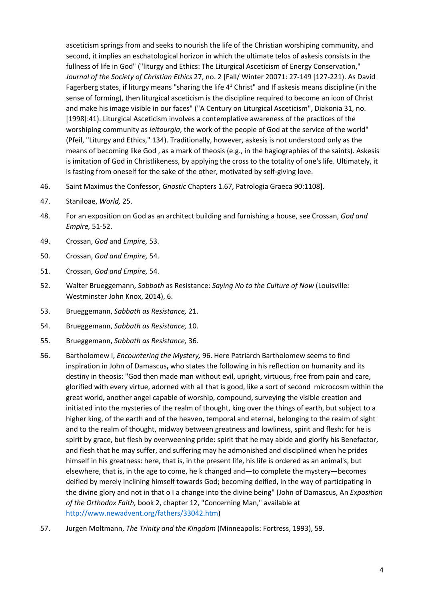asceticism springs from and seeks to nourish the life of the Christian worshiping community, and second, it implies an eschatological horizon in which the ultimate telos of askesis consists in the fullness of life in God" ("liturgy and Ethics: The Liturgical Asceticism of Energy Conservation," *Journal of the Society of Christian Ethics* 27, no. 2 [Fall/ Winter 20071: 27-149 [127-221). As David Fagerberg states, if liturgy means "sharing the life  $4<sup>1</sup>$  Christ" and If askesis means discipline (in the sense of forming), then liturgical asceticism is the discipline required to become an icon of Christ and make his image visible in our faces" ("A Century on Liturgical Asceticism", Diakonia 31, no. [1998]:41). Liturgical Asceticism involves a contemplative awareness of the practices of the worshiping community as *leitourgia*, the work of the people of God at the service of the world" (Pfeil, "Liturgy and Ethics," 134). Traditionally, however, askesis is not understood only as the means of becoming like God , as a mark of theosis (e.g., in the hagiographies of the saints). Askesis is imitation of God in Christlikeness, by applying the cross to the totality of one's life. Ultimately, it is fasting from oneself for the sake of the other, motivated by self-giving love.

- 46. Saint Maximus the Confessor, *Gnostic* Chapters 1.67, Patrologia Graeca 90:1108].
- 47. Staniloae, *World,* 25.
- 48. For an exposition on God as an architect building and furnishing a house, see Crossan, *God and Empire,* 51-52.
- 49. Crossan, *God* and *Empire,* 53.
- 50. Crossan, *God and Empire,* 54.
- 51. Crossan, *God and Empire,* 54.
- 52. Walter Brueggemann, *Sabbath* as Resistance: *Saying No to the Culture of Now* (Louisville*:*  Westminster John Knox, 2014), 6.
- 53. Brueggemann, *Sabbath as Resistance,* 21.
- 54. Brueggemann, *Sabbath as Resistance,* 10.
- 55. Brueggemann, *Sabbath as Resistance,* 36.
- 56. Bartholomew I, *Encountering the Mystery,* 96. Here Patriarch Bartholomew seems to find inspiration in John of Damascus**,** who states the following in his reflection on humanity and its destiny in theosis: "God then made man without evil, upright, virtuous, free from pain and care, glorified with every virtue, adorned with all that is good, like a sort of second microcosm within the great world, another angel capable of worship, compound, surveying the visible creation and initiated into the mysteries of the realm of thought, king over the things of earth, but subject to a higher king, of the earth and of the heaven, temporal and eternal, belonging to the realm of sight and to the realm of thought, midway between greatness and lowliness, spirit and flesh: for he is spirit by grace, but flesh by overweening pride: spirit that he may abide and glorify his Benefactor, and flesh that he may suffer, and suffering may he admonished and disciplined when he prides himself in his greatness: here, that is, in the present life, his life is ordered as an animal's, but elsewhere, that is, in the age to come, he k changed and—to complete the mystery—becomes deified by merely inclining himself towards God; becoming deified, in the way of participating in the divine glory and not in that o I a change into the divine being" (John of Damascus, An *Exposition of the Orthodox Faith,* book 2, chapter 12, "Concerning Man," available at http://www.newadvent.org/fathers/33042.htm)
- 57. Jurgen Moltmann, *The Trinity and the Kingdom* (Minneapolis: Fortress, 1993), 59.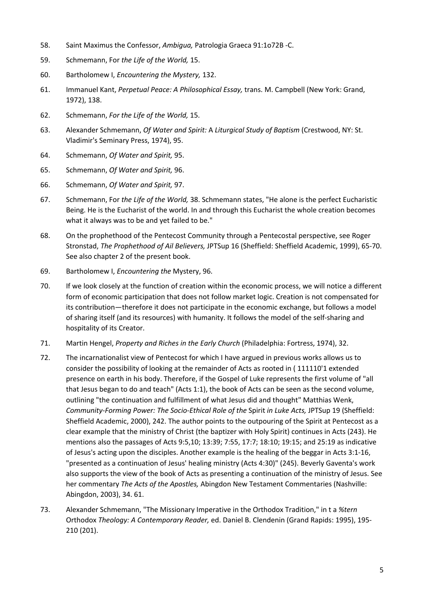- 58. Saint Maximus the Confessor, *Ambigua,* Patrologia Graeca 91:1o72B -C.
- 59. Schmemann, For *the Life of the World,* 15.
- 60. Bartholomew I, *Encountering the Mystery,* 132.
- 61. Immanuel Kant, *Perpetual Peace: A Philosophical Essay,* trans. M. Campbell (New York: Grand, 1972), 138.
- 62. Schmemann, *For the Life of the World,* 15.
- 63. Alexander Schmemann, *Of Water and Spirit:* A *Liturgical Study of Baptism* (Crestwood, NY: St. Vladimir's Seminary Press, 1974), 95.
- 64. Schmemann, *Of Water and Spirit,* 95.
- 65. Schmemann, *Of Water and Spirit,* 96.
- 66. Schmemann, *Of Water and Spirit,* 97.
- 67. Schmemann, For *the Life of the World,* 38. Schmemann states, "He alone is the perfect Eucharistic Being. He is the Eucharist of the world. In and through this Eucharist the whole creation becomes what it always was to be and yet failed to be."
- 68. On the prophethood of the Pentecost Community through a Pentecostal perspective, see Roger Stronstad, *The Prophethood of Ail Believers,* JPTSup 16 (Sheffield: Sheffield Academic, 1999), 65-70. See also chapter 2 of the present book.
- 69. Bartholomew I, *Encountering the* Mystery, 96.
- 70. If we look closely at the function of creation within the economic process, we will notice a different form of economic participation that does not follow market logic. Creation is not compensated for its contribution—therefore it does not participate in the economic exchange, but follows a model of sharing itself (and its resources) with humanity. It follows the model of the self-sharing and hospitality of its Creator.
- 71. Martin Hengel, *Property and Riches in the Early Church* (Philadelphia: Fortress, 1974), 32.
- 72. The incarnationalist view of Pentecost for which I have argued in previous works allows us to consider the possibility of looking at the remainder of Acts as rooted in ( 111110'1 extended presence on earth in his body. Therefore, if the Gospel of Luke represents the first volume of "all that Jesus began to do and teach" (Acts 1:1), the book of Acts can be seen as the second volume, outlining "the continuation and fulfillment of what Jesus did and thought" Matthias Wenk, *Community-Forming Power: The Socio-Ethical Role of the* Spirit *in Luke Acts,* JPTSup 19 (Sheffield: Sheffield Academic, 2000), 242. The author points to the outpouring of the Spirit at Pentecost as a clear example that the ministry of Christ (the baptizer with Holy Spirit) continues in Acts (243). He mentions also the passages of Acts 9:5,10; 13:39; 7:55, 17:7; 18:10; 19:15; and 25:19 as indicative of Jesus's acting upon the disciples. Another example is the healing of the beggar in Acts 3:1-16, "presented as a continuation of Jesus' healing ministry (Acts 4:30)" (245). Beverly Gaventa's work also supports the view of the book of Acts as presenting a continuation of the ministry of Jesus. See her commentary *The Acts of the Apostles,* Abingdon New Testament Commentaries (Nashville: Abingdon, 2003), 34. 61.
- 73. Alexander Schmemann, "The Missionary Imperative in the Orthodox Tradition," in t a *%tern*  Orthodox *Theology: A Contemporary Reader,* ed. Daniel B. Clendenin (Grand Rapids: 1995), 195- 210 (201).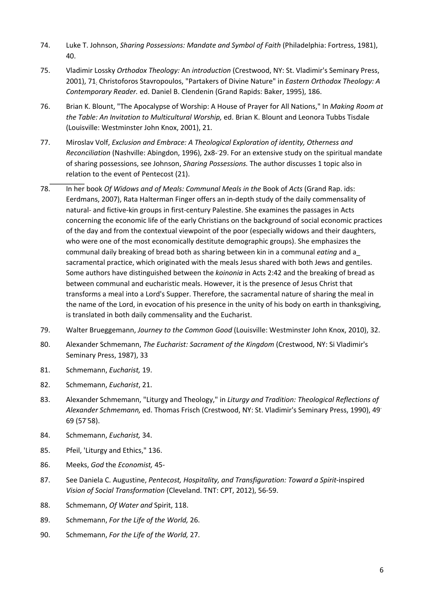- 74. Luke T. Johnson, *Sharing Possessions: Mandate and Symbol of Faith* (Philadelphia: Fortress, 1981), 40.
- 75. Vladimir Lossky *Orthodox Theology:* An *introduction* (Crestwood, NY: St. Vladimir's Seminary Press, 2001), 71; Christoforos Stavropoulos, "Partakers of Divine Nature" in *Eastern Orthodox Theology: A Contemporary Reader.* ed. Daniel B. Clendenin (Grand Rapids: Baker, 1995), 186.
- 76. Brian K. Blount, "The Apocalypse of Worship: A House of Prayer for All Nations," In *Making Room at the Table: An Invitation to Multicultural Worship,* ed. Brian K. Blount and Leonora Tubbs Tisdale (Louisville: Westminster John Knox, 2001), 21.
- 77. Miroslav Volf, *Exclusion and Embrace: A Theological Exploration of identity, Otherness and*  Reconciliation (Nashville: Abingdon, 1996), 2x8-29. For an extensive study on the spiritual mandate of sharing possessions, see Johnson, *Sharing Possessions.* The author discusses 1 topic also in relation to the event of Pentecost (21).
- 78. In her book *Of Widows and of Meals: Communal Meals in the* Book of *Acts* (Grand Rap. ids: Eerdmans, 2007), Rata Halterman Finger offers an in-depth study of the daily commensality of natural- and fictive-kin groups in first-century Palestine. She examines the passages in Acts concerning the economic life of the early Christians on the background of social economic practices of the day and from the contextual viewpoint of the poor (especially widows and their daughters, who were one of the most economically destitute demographic groups). She emphasizes the communal daily breaking of bread both as sharing between kin in a communal *eating* and a\_ sacramental practice, which originated with the meals Jesus shared with both Jews and gentiles. Some authors have distinguished between the *koinonia* in Acts 2:42 and the breaking of bread as between communal and eucharistic meals. However, it is the presence of Jesus Christ that transforms a meal into a Lord's Supper. Therefore, the sacramental nature of sharing the meal in the name of the Lord, in evocation of his presence in the unity of his body on earth in thanksgiving, is translated in both daily commensality and the Eucharist.
- 79. Walter Brueggemann, *Journey to the Common Good* (Louisville: Westminster John Knox, 2010), 32.
- 80. Alexander Schmemann, *The Eucharist: Sacrament of the Kingdom* (Crestwood, NY: Si Vladimir's Seminary Press, 1987), 33
- 81. Schmemann, *Eucharist,* 19.
- 82. Schmemann, *Eucharist*, 21.
- 83. Alexander Schmemann, "Liturgy and Theology," in *Liturgy and Tradition: Theological Reflections of Alexander Schmemann,* ed. Thomas Frisch (Crestwood, NY: St. Vladimir's Seminary Press, 1990), 49- 69 (57- 58).
- 84. Schmemann, *Eucharist,* 34.
- 85. Pfeil, 'Liturgy and Ethics," 136.
- 86. Meeks, *God* the *Economist,* 45-
- 87. See Daniela C. Augustine, *Pentecost, Hospitality, and Transfiguration: Toward a Spirit-*inspired *Vision of Social Transformation* (Cleveland. TNT: CPT, 2012), 56-59.
- 88. Schmemann, *Of Water and* Spirit, 118.
- 89. Schmemann, *For the Life of the World,* 26.
- 90. Schmemann, *For the Life of the World,* 27.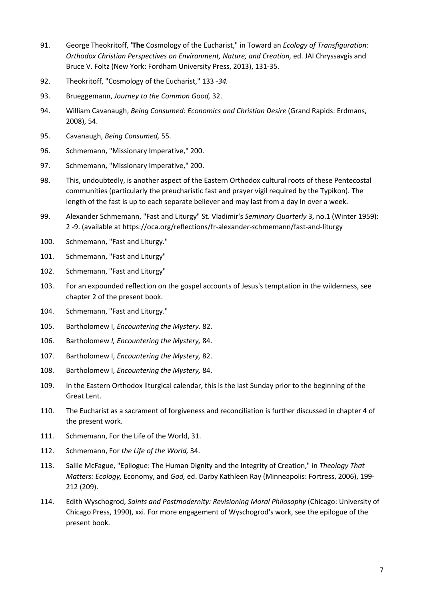- 91. George Theokritoff, **'The** Cosmology of the Eucharist," in Toward an *Ecology of Transfiguration: Orthodox Christian Perspectives on Environment, Nature, and Creation,* ed. JAI Chryssavgis and Bruce V. Foltz (New York: Fordham University Press, 2013), 131-35.
- 92. Theokritoff, "Cosmology of the Eucharist," 133 *-34.*
- 93. Brueggemann, *Journey to the Common Good,* 32.
- 94. William Cavanaugh, *Being Consumed: Economics and Christian Desire* (Grand Rapids: Erdmans, 2008), 54.
- 95. Cavanaugh, *Being Consumed,* 55.
- 96. Schmemann, "Missionary Imperative," 200.
- 97. Schmemann, "Missionary Imperative," 200.
- 98. This, undoubtedly, is another aspect of the Eastern Orthodox cultural roots of these Pentecostal communities (particularly the preucharistic fast and prayer vigil required by the Typikon). The length of the fast is up to each separate believer and may last from a day In over a week.
- 99. Alexander Schmemann, "Fast and Liturgy" St. Vladimir's *Seminary Quarterly* 3, no.1 (Winter 1959): 2 -9. (available at https://oca.org/reflections/fr-alexand*er-s*chmemann/fast-and-liturgy
- 100. Schmemann, "Fast and Liturgy."
- 101. Schmemann, "Fast and Liturgy"
- 102. Schmemann, "Fast and Liturgy"
- 103. For an expounded reflection on the gospel accounts of Jesus's temptation in the wiIderness, see chapter 2 of the present book.
- 104. Schmemann, "Fast and Liturgy."
- 105. Bartholomew I, *Encountering the Mystery.* 82.
- 106. Bartholomew *I, Encountering the Mystery,* 84.
- 107. Bartholomew I, *Encountering the Mystery,* 82.
- 108. Bartholomew I, *Encountering the Mystery,* 84.
- 109. In the Eastern Orthodox liturgical calendar, this is the last Sunday prior to the beginning of the Great Lent.
- 110. The Eucharist as a sacrament of forgiveness and reconciliation is further discussed in chapter 4 of the present work.
- 111. Schmemann, For the Life of the World, 31.
- 112. Schmemann, For *the Life of the World,* 34.
- 113. Sallie McFague, "Epilogue: The Human Dignity and the Integrity of Creation," in *Theology That Matters: Ecology,* Economy, and *God,* ed. Darby Kathleen Ray (Minneapolis: Fortress, 2006), 199- 212 (209).
- 114. Edith Wyschogrod, *Saints and Postmodernity: Revisioning Moral Philosophy* (Chicago: University of Chicago Press, 1990), xxi. For more engagement of Wyschogrod's work, see the epilogue of the present book.